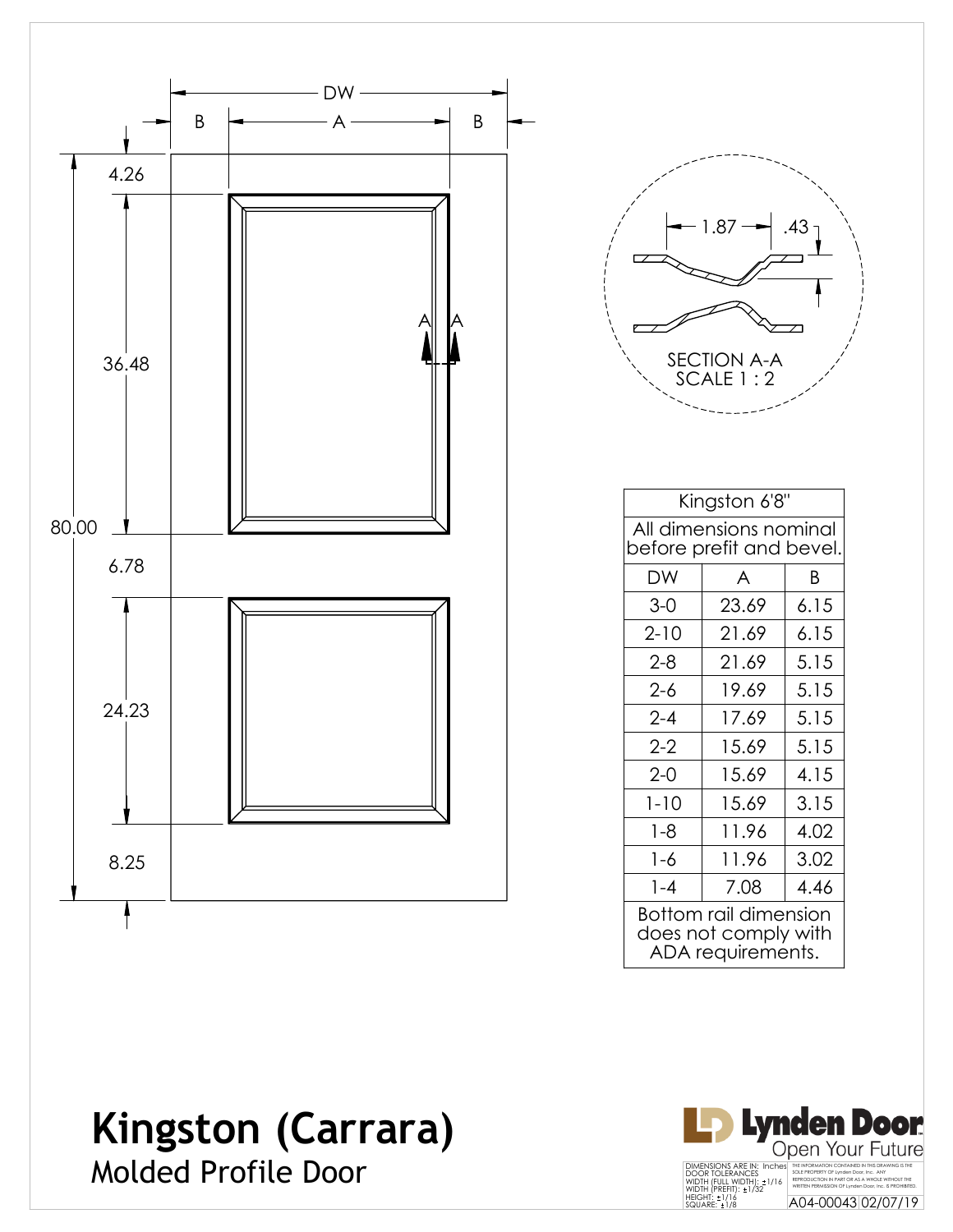

| 1.87<br>.43                     |  |
|---------------------------------|--|
|                                 |  |
| <b>SECTION A-A</b><br>SCALE 1:2 |  |

| Kingston 6'8"                                                      |       |      |  |          |
|--------------------------------------------------------------------|-------|------|--|----------|
| All dimensions nominal<br>before prefit and bevel.                 |       |      |  |          |
| DW                                                                 | A     | R    |  |          |
| $3 - 0$                                                            | 23.69 | 6.15 |  |          |
| $2 - 10$                                                           | 21.69 | 6.15 |  |          |
| $2 - 8$                                                            | 21.69 | 5.15 |  |          |
| $2 - 6$                                                            | 19.69 | 5.15 |  |          |
| $2 - 4$                                                            | 17.69 | 5.15 |  |          |
| $2 - 2$<br>5.15<br>15.69<br>$2 - 0$<br>4.15<br>15.69               |       |      |  |          |
|                                                                    |       |      |  | $1 - 10$ |
| $1 - 8$                                                            | 11.96 | 4.02 |  |          |
| $1 - 6$                                                            | 11.96 | 3.02 |  |          |
| $1 - 4$                                                            | 7.08  | 4.46 |  |          |
| Bottom rail dimension<br>does not comply with<br>ADA requirements. |       |      |  |          |

#### **Kingston (Carrara)** Molded Profile Door

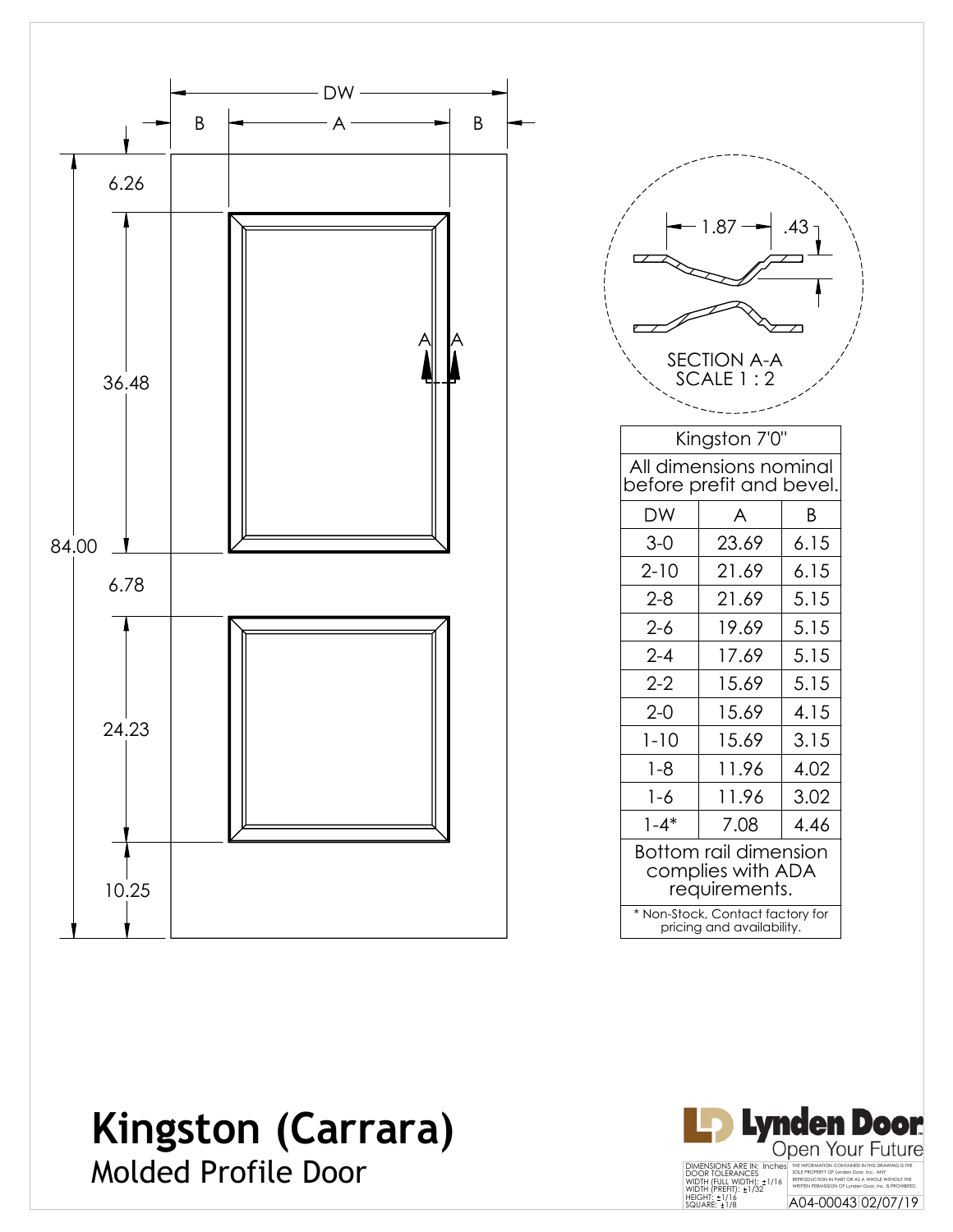

|                                                             | 1.87<br>SECTION A-A<br>SCALE 1:2                              | .43  |  |  |
|-------------------------------------------------------------|---------------------------------------------------------------|------|--|--|
|                                                             | Kingston 7'0"                                                 |      |  |  |
|                                                             | All dimensions nominal<br>before prefit and bevel.            |      |  |  |
| DW                                                          | A                                                             | Β    |  |  |
| $3-0$                                                       | 23.69                                                         | 6.15 |  |  |
| $2 - 10$                                                    | 21.69                                                         | 6.15 |  |  |
| $2 - 8$                                                     | 21.69                                                         | 5.15 |  |  |
| $2 - 6$                                                     | 19.69                                                         | 5.15 |  |  |
| $2 - 4$                                                     | 17.69                                                         | 5.15 |  |  |
| $2-2$                                                       | 15.69                                                         | 5.15 |  |  |
| $2 - 0$                                                     | 15.69                                                         | 4.15 |  |  |
| $1 - 10$                                                    | 15.69                                                         | 3.15 |  |  |
| $1 - 8$                                                     | 11.96                                                         | 4.02 |  |  |
| 1-6                                                         | 11.96                                                         | 3.02 |  |  |
| $1 - 4*$                                                    | 7.08                                                          | 4.46 |  |  |
| Bottom rail dimension<br>complies with ADA<br>requirements. |                                                               |      |  |  |
|                                                             | * Non-Stock, Contact factory for<br>pricing and availability. |      |  |  |

### **Kingston (Carrara)** Molded Profile Door

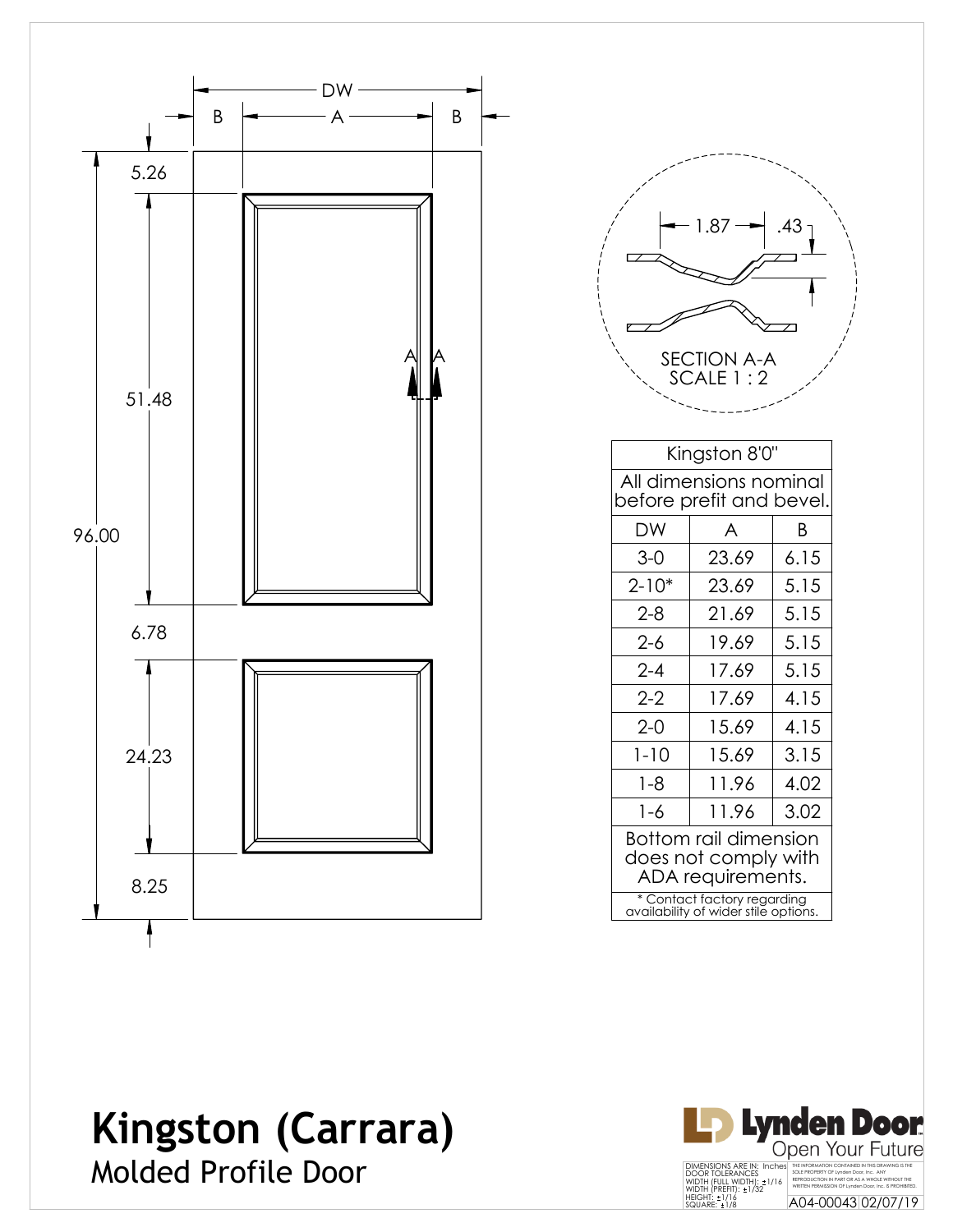

|           | 1.87<br><b>SECTION A-A</b><br>SCALE 1:2                                   | .43 <sub>1</sub> |  |  |  |
|-----------|---------------------------------------------------------------------------|------------------|--|--|--|
|           | Kingston 8'0"                                                             |                  |  |  |  |
|           | All dimensions nominal<br>before prefit and bevel.                        |                  |  |  |  |
| DW        | A                                                                         | Β                |  |  |  |
| $3-0$     | 23.69                                                                     | 6.15             |  |  |  |
| $2 - 10*$ | 23.69                                                                     | 5.15             |  |  |  |
| $2 - 8$   | 21.69                                                                     | 5.15             |  |  |  |
| $2 - 6$   | 19.69                                                                     | 5.15             |  |  |  |
| $2 - 4$   | 17.69                                                                     | 5.15             |  |  |  |
| $2 - 2$   | 17.69                                                                     | 4.15             |  |  |  |
| $2 - 0$   | 15.69                                                                     | 4.15             |  |  |  |
| $1 - 10$  | 15.69                                                                     | 3.15             |  |  |  |
| $1 - 8$   | 11.96                                                                     | 4.02             |  |  |  |
| $1 - 6$   | 11.96                                                                     | 3.02             |  |  |  |
|           | <b>Bottom rail dimension</b><br>does not comply with<br>ADA requirements. |                  |  |  |  |
|           | * Contact factory regarding<br>availability of wider stile options.       |                  |  |  |  |

### **Kingston (Carrara)** Molded Profile Door

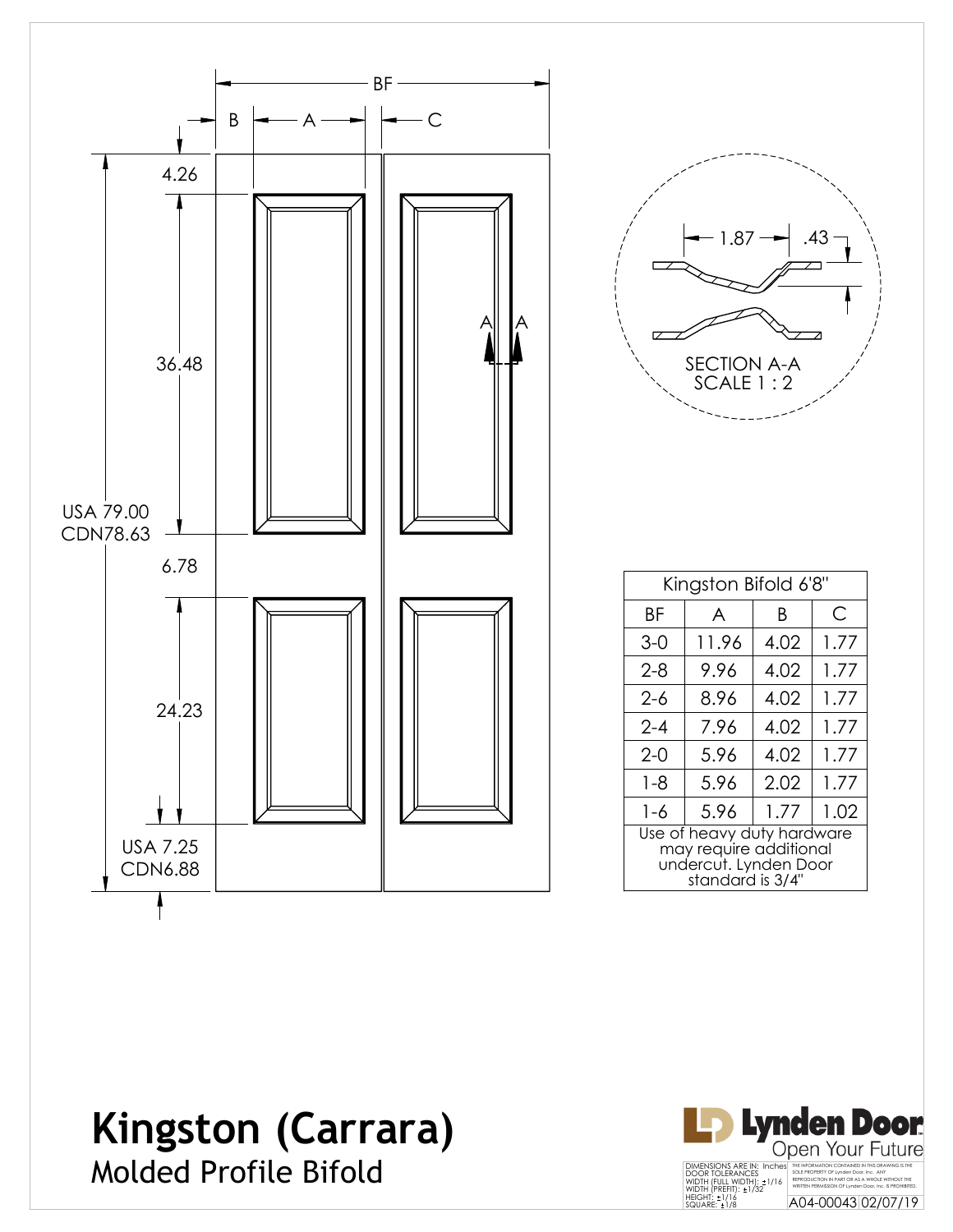

| .43<br>1.87                     |
|---------------------------------|
| <b>SECTION A-A</b><br>SCALE 1:2 |

| Kingston Bifold 6'8"                                                                              |       |      |      |  |
|---------------------------------------------------------------------------------------------------|-------|------|------|--|
| ΒF                                                                                                | A     | Β    | C    |  |
| $3-0$                                                                                             | 11.96 | 4.02 | 1.77 |  |
| $2 - 8$                                                                                           | 9.96  | 4.02 | 1.77 |  |
| 2-6                                                                                               | 8.96  | 4.02 | 1.77 |  |
| $2 - 4$                                                                                           | 7.96  | 4.02 | 1.77 |  |
| $2 - 0$                                                                                           | 5.96  | 4.02 | 1.77 |  |
| $1 - 8$                                                                                           | 5.96  | 2.02 | 1.77 |  |
| 1-6                                                                                               | 5.96  | 1.77 | 1.02 |  |
| Use of heavy duty hardware<br>may require additional<br>undercut. Lynden Door<br>standard is 3/4" |       |      |      |  |

## **Kingston (Carrara)**



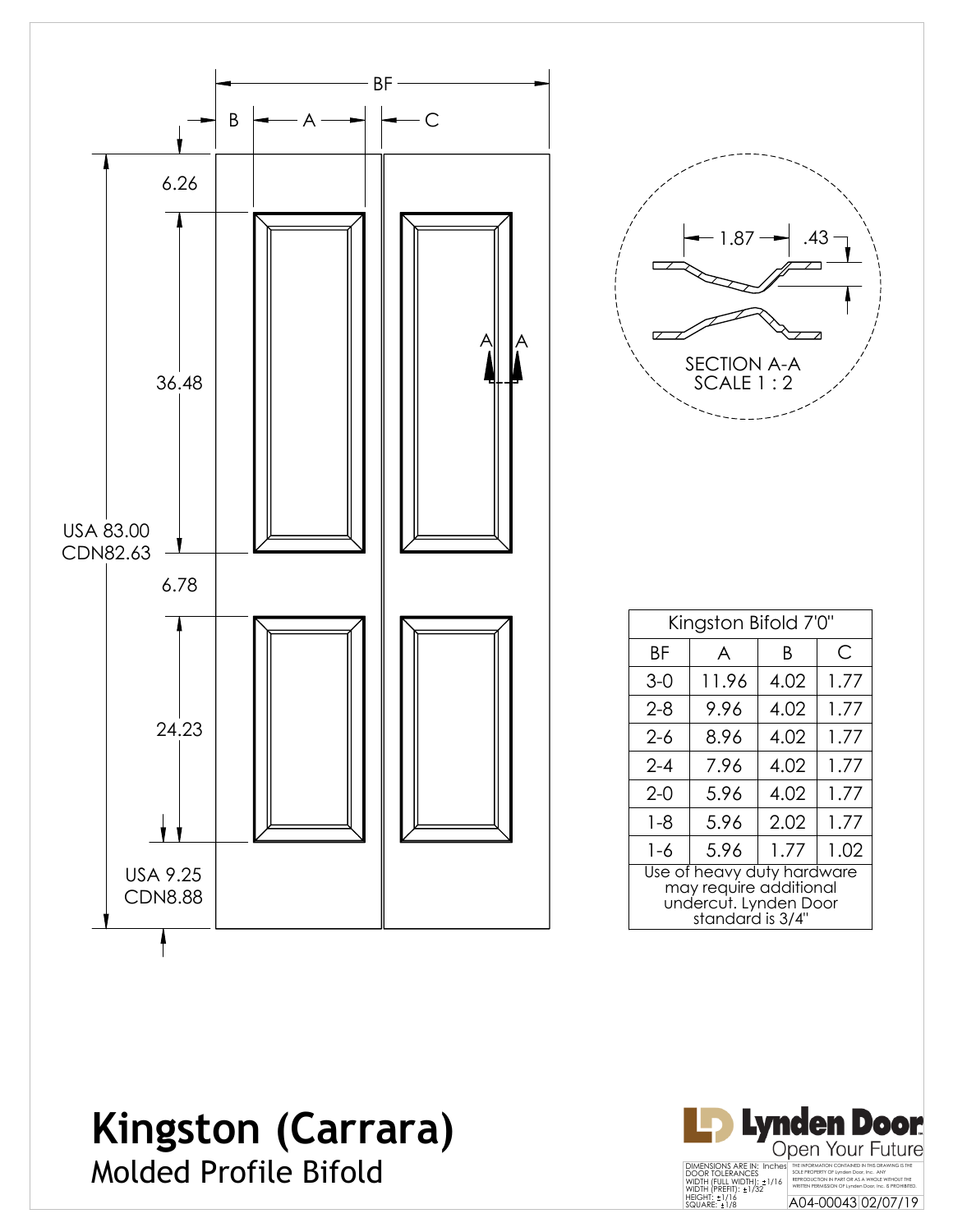

| .43<br>1.87<br><b>SECTION A-A</b> |
|-----------------------------------|
| SCALE 1:2                         |

| Kingston Bifold 7'0"                                                                              |       |      |      |
|---------------------------------------------------------------------------------------------------|-------|------|------|
| ΒF                                                                                                | A     | B    | С    |
| $3-0$                                                                                             | 11.96 | 4.02 | 1.77 |
| 2-8                                                                                               | 9.96  | 4.02 | 1.77 |
| 2-6                                                                                               | 8.96  | 4.02 | 1.77 |
| $2 - 4$                                                                                           | 7.96  | 4.02 | 1.77 |
| $2-0$                                                                                             | 5.96  | 4.02 | 1.77 |
| $1 - 8$                                                                                           | 5.96  | 2.02 | 1.77 |
| $1 - 6$                                                                                           | 5.96  | 1.77 | 1.02 |
| Use of heavy duty hardware<br>may require additional<br>undercut. Lynden Door<br>standard is 3/4" |       |      |      |

### **Kingston (Carrara)**

Molded Profile Bifold